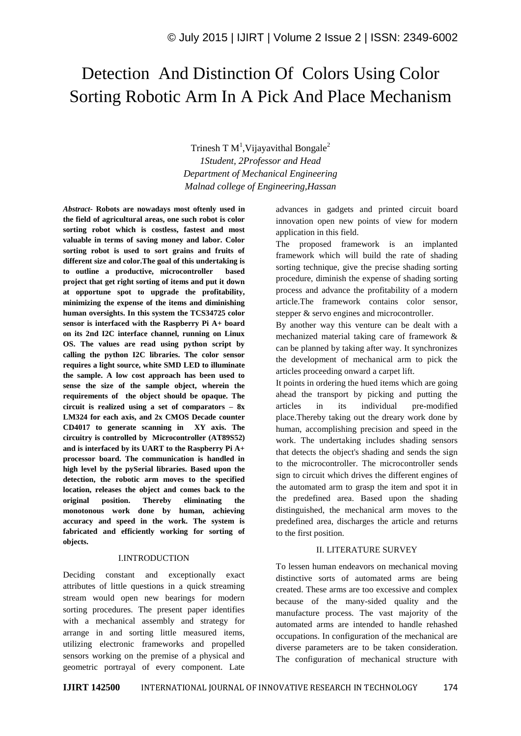# Detection And Distinction Of Colors Using Color Sorting Robotic Arm In A Pick And Place Mechanism

Trinesh T  $M<sup>1</sup>$ , Vijayavithal Bongale<sup>2</sup> *1Student, 2Professor and Head Department of Mechanical Engineering Malnad college of Engineering,Hassan*

*Abstract-* **Robots are nowadays most oftenly used in the field of agricultural areas, one such robot is color sorting robot which is costless, fastest and most valuable in terms of saving money and labor. Color sorting robot is used to sort grains and fruits of different size and color.The goal of this undertaking is to outline a productive, microcontroller based project that get right sorting of items and put it down at opportune spot to upgrade the profitability, minimizing the expense of the items and diminishing human oversights. In this system the TCS34725 color sensor is interfaced with the Raspberry Pi A+ board on its 2nd I2C interface channel, running on Linux OS. The values are read using python script by calling the python I2C libraries. The color sensor requires a light source, white SMD LED to illuminate the sample. A low cost approach has been used to sense the size of the sample object, wherein the requirements of the object should be opaque. The circuit is realized using a set of comparators – 8x LM324 for each axis, and 2x CMOS Decade counter CD4017 to generate scanning in XY axis. The circuitry is controlled by Microcontroller (AT89S52) and is interfaced by its UART to the Raspberry Pi A+ processor board. The communication is handled in high level by the pySerial libraries. Based upon the detection, the robotic arm moves to the specified location, releases the object and comes back to the original position. Thereby eliminating the monotonous work done by human, achieving accuracy and speed in the work. The system is fabricated and efficiently working for sorting of objects.** 

#### I.INTRODUCTION

Deciding constant and exceptionally exact attributes of little questions in a quick streaming stream would open new bearings for modern sorting procedures. The present paper identifies with a mechanical assembly and strategy for arrange in and sorting little measured items, utilizing electronic frameworks and propelled sensors working on the premise of a physical and geometric portrayal of every component. Late

advances in gadgets and printed circuit board innovation open new points of view for modern application in this field.

The proposed framework is an implanted framework which will build the rate of shading sorting technique, give the precise shading sorting procedure, diminish the expense of shading sorting process and advance the profitability of a modern article.The framework contains color sensor, stepper & servo engines and microcontroller.

By another way this venture can be dealt with a mechanized material taking care of framework & can be planned by taking after way. It synchronizes the development of mechanical arm to pick the articles proceeding onward a carpet lift.

It points in ordering the hued items which are going ahead the transport by picking and putting the articles in its individual pre-modified place.Thereby taking out the dreary work done by human, accomplishing precision and speed in the work. The undertaking includes shading sensors that detects the object's shading and sends the sign to the microcontroller. The microcontroller sends sign to circuit which drives the different engines of the automated arm to grasp the item and spot it in the predefined area. Based upon the shading distinguished, the mechanical arm moves to the predefined area, discharges the article and returns to the first position.

# II. LITERATURE SURVEY

To lessen human endeavors on mechanical moving distinctive sorts of automated arms are being created. These arms are too excessive and complex because of the many-sided quality and the manufacture process. The vast majority of the automated arms are intended to handle rehashed occupations. In configuration of the mechanical are diverse parameters are to be taken consideration. The configuration of mechanical structure with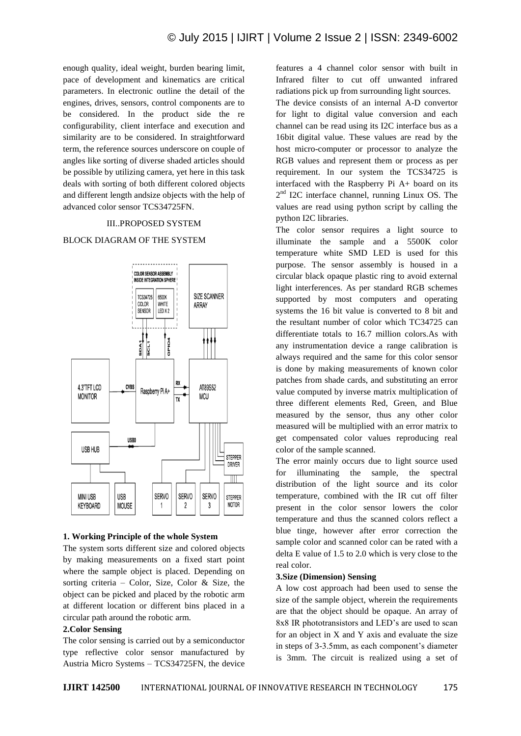enough quality, ideal weight, burden bearing limit, pace of development and kinematics are critical parameters. In electronic outline the detail of the engines, drives, sensors, control components are to be considered. In the product side the re configurability, client interface and execution and similarity are to be considered. In straightforward term, the reference sources underscore on couple of angles like sorting of diverse shaded articles should be possible by utilizing camera, yet here in this task deals with sorting of both different colored objects and different length andsize objects with the help of advanced color sensor TCS34725FN.

## III..PROPOSED SYSTEM

# BLOCK DIAGRAM OF THE SYSTEM



#### **1. Working Principle of the whole System**

The system sorts different size and colored objects by making measurements on a fixed start point where the sample object is placed. Depending on sorting criteria – Color, Size, Color & Size, the object can be picked and placed by the robotic arm at different location or different bins placed in a circular path around the robotic arm.

# **2.Color Sensing**

The color sensing is carried out by a semiconductor type reflective color sensor manufactured by Austria Micro Systems – TCS34725FN, the device

features a 4 channel color sensor with built in Infrared filter to cut off unwanted infrared radiations pick up from surrounding light sources. The device consists of an internal A-D convertor for light to digital value conversion and each channel can be read using its I2C interface bus as a 16bit digital value. These values are read by the host micro-computer or processor to analyze the RGB values and represent them or process as per requirement. In our system the TCS34725 is interfaced with the Raspberry Pi A+ board on its 2<sup>nd</sup> I2C interface channel, running Linux OS. The values are read using python script by calling the python I2C libraries.

The color sensor requires a light source to illuminate the sample and a 5500K color temperature white SMD LED is used for this purpose. The sensor assembly is housed in a circular black opaque plastic ring to avoid external light interferences. As per standard RGB schemes supported by most computers and operating systems the 16 bit value is converted to 8 bit and the resultant number of color which TC34725 can differentiate totals to 16.7 million colors.As with any instrumentation device a range calibration is always required and the same for this color sensor is done by making measurements of known color patches from shade cards, and substituting an error value computed by inverse matrix multiplication of three different elements Red, Green, and Blue measured by the sensor, thus any other color measured will be multiplied with an error matrix to get compensated color values reproducing real color of the sample scanned.

The error mainly occurs due to light source used for illuminating the sample, the spectral distribution of the light source and its color temperature, combined with the IR cut off filter present in the color sensor lowers the color temperature and thus the scanned colors reflect a blue tinge, however after error correction the sample color and scanned color can be rated with a delta E value of 1.5 to 2.0 which is very close to the real color.

#### **3.Size (Dimension) Sensing**

A low cost approach had been used to sense the size of the sample object, wherein the requirements are that the object should be opaque. An array of 8x8 IR phototransistors and LED's are used to scan for an object in X and Y axis and evaluate the size in steps of 3-3.5mm, as each component's diameter is 3mm. The circuit is realized using a set of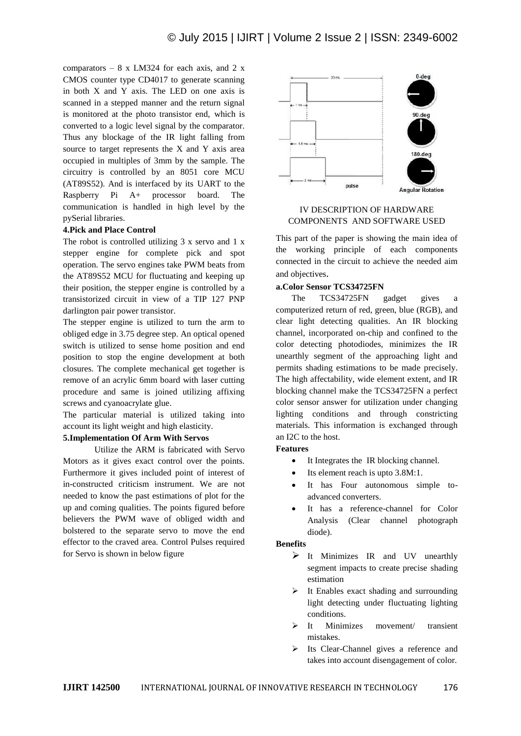comparators –  $8 \times LM324$  for each axis, and 2 x CMOS counter type CD4017 to generate scanning in both X and Y axis. The LED on one axis is scanned in a stepped manner and the return signal is monitored at the photo transistor end, which is converted to a logic level signal by the comparator. Thus any blockage of the IR light falling from source to target represents the X and Y axis area occupied in multiples of 3mm by the sample. The circuitry is controlled by an 8051 core MCU (AT89S52). And is interfaced by its UART to the Raspberry Pi A+ processor board. The communication is handled in high level by the pySerial libraries.

## **4.Pick and Place Control**

The robot is controlled utilizing 3 x servo and 1 x stepper engine for complete pick and spot operation. The servo engines take PWM beats from the AT89S52 MCU for fluctuating and keeping up their position, the stepper engine is controlled by a transistorized circuit in view of a TIP 127 PNP darlington pair power transistor.

The stepper engine is utilized to turn the arm to obliged edge in 3.75 degree step. An optical opened switch is utilized to sense home position and end position to stop the engine development at both closures. The complete mechanical get together is remove of an acrylic 6mm board with laser cutting procedure and same is joined utilizing affixing screws and cyanoacrylate glue.

The particular material is utilized taking into account its light weight and high elasticity.

### **5.Implementation Of Arm With Servos**

Utilize the ARM is fabricated with Servo Motors as it gives exact control over the points. Furthermore it gives included point of interest of in-constructed criticism instrument. We are not needed to know the past estimations of plot for the up and coming qualities. The points figured before believers the PWM wave of obliged width and bolstered to the separate servo to move the end effector to the craved area. Control Pulses required for Servo is shown in below figure



# IV DESCRIPTION OF HARDWARE COMPONENTS AND SOFTWARE USED

This part of the paper is showing the main idea of the working principle of each components connected in the circuit to achieve the needed aim and objectives.

#### **a.Color Sensor TCS34725FN**

The TCS34725FN gadget gives a computerized return of red, green, blue (RGB), and clear light detecting qualities. An IR blocking channel, incorporated on-chip and confined to the color detecting photodiodes, minimizes the IR unearthly segment of the approaching light and permits shading estimations to be made precisely. The high affectability, wide element extent, and IR blocking channel make the TCS34725FN a perfect color sensor answer for utilization under changing lighting conditions and through constricting materials. This information is exchanged through an I2C to the host.

#### **Features**

- It Integrates the IR blocking channel.
- Its element reach is upto 3.8M:1.
- It has Four autonomous simple toadvanced converters.
- It has a reference-channel for Color Analysis (Clear channel photograph diode).

#### **Benefits**

- $\triangleright$  It Minimizes IR and UV unearthly segment impacts to create precise shading estimation
- $\triangleright$  It Enables exact shading and surrounding light detecting under fluctuating lighting conditions.
- $\triangleright$  It Minimizes movement/ transient mistakes.
- $\triangleright$  Its Clear-Channel gives a reference and takes into account disengagement of color.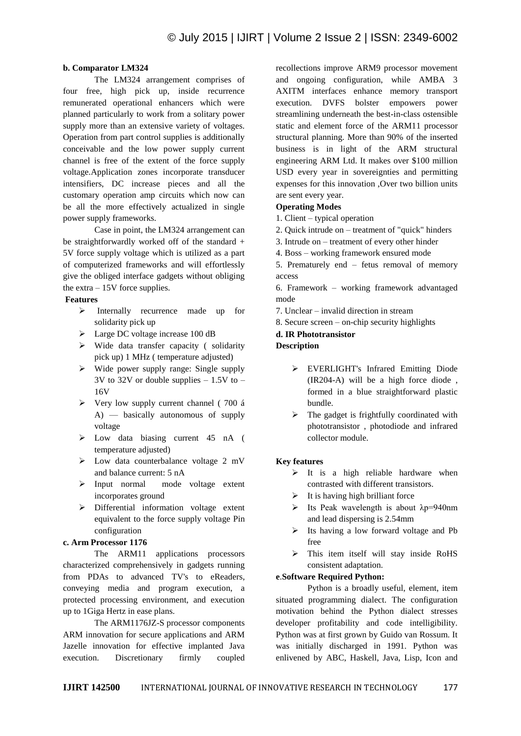#### **b. Comparator LM324**

The LM324 arrangement comprises of four free, high pick up, inside recurrence remunerated operational enhancers which were planned particularly to work from a solitary power supply more than an extensive variety of voltages. Operation from part control supplies is additionally conceivable and the low power supply current channel is free of the extent of the force supply voltage.Application zones incorporate transducer intensifiers, DC increase pieces and all the customary operation amp circuits which now can be all the more effectively actualized in single power supply frameworks.

Case in point, the LM324 arrangement can be straightforwardly worked off of the standard + 5V force supply voltage which is utilized as a part of computerized frameworks and will effortlessly give the obliged interface gadgets without obliging the extra – 15V force supplies.

#### **Features**

- > Internally recurrence made up for solidarity pick up
- **Example 100 cm** Large DC voltage increase 100 dB
- $\triangleright$  Wide data transfer capacity (solidarity pick up) 1 MHz ( temperature adjusted)
- $\triangleright$  Wide power supply range: Single supply  $3V$  to  $32V$  or double supplies  $-1.5V$  to  $-$ 16V
- $\triangleright$  Very low supply current channel (700 á A) — basically autonomous of supply voltage
- Low data biasing current 45 nA ( temperature adjusted)
- $\triangleright$  Low data counterbalance voltage 2 mV and balance current: 5 nA
- $\triangleright$  Input normal mode voltage extent incorporates ground
- Differential information voltage extent equivalent to the force supply voltage Pin configuration

# **c. Arm Processor 1176**

The ARM11 applications processors characterized comprehensively in gadgets running from PDAs to advanced TV's to eReaders, conveying media and program execution, a protected processing environment, and execution up to 1Giga Hertz in ease plans.

The ARM1176JZ-S processor components ARM innovation for secure applications and ARM Jazelle innovation for effective implanted Java execution. Discretionary firmly coupled

recollections improve ARM9 processor movement and ongoing configuration, while AMBA 3 AXITM interfaces enhance memory transport execution. DVFS bolster empowers power streamlining underneath the best-in-class ostensible static and element force of the ARM11 processor structural planning. More than 90% of the inserted business is in light of the ARM structural engineering ARM Ltd. It makes over \$100 million USD every year in sovereignties and permitting expenses for this innovation ,Over two billion units are sent every year.

# **Operating Modes**

1. Client – typical operation

- 2. Quick intrude on treatment of "quick" hinders
- 3. Intrude on treatment of every other hinder
- 4. Boss working framework ensured mode
- 5. Prematurely end fetus removal of memory access
- 6. Framework working framework advantaged mode
- 7. Unclear invalid direction in stream
- 8. Secure screen on-chip security highlights

## **d. IR Phototransistor**

## **Description**

- EVERLIGHT's Infrared Emitting Diode (IR204-A) will be a high force diode , formed in a blue straightforward plastic bundle.
- $\triangleright$  The gadget is frightfully coordinated with phototransistor , photodiode and infrared collector module.

# **Key features**

- $\triangleright$  It is a high reliable hardware when contrasted with different transistors.
- $\triangleright$  It is having high brilliant force
- $\triangleright$  Its Peak wavelength is about  $\lambda p = 940$ nm and lead dispersing is 2.54mm
- $\triangleright$  Its having a low forward voltage and Pb free
- $\triangleright$  This item itself will stay inside RoHS consistent adaptation.

# **e**.**Software Required Python:**

Python is a broadly useful, element, item situated programming dialect. The configuration motivation behind the Python dialect stresses developer profitability and code intelligibility. Python was at first grown by Guido van Rossum. It was initially discharged in 1991. Python was enlivened by ABC, Haskell, Java, Lisp, Icon and